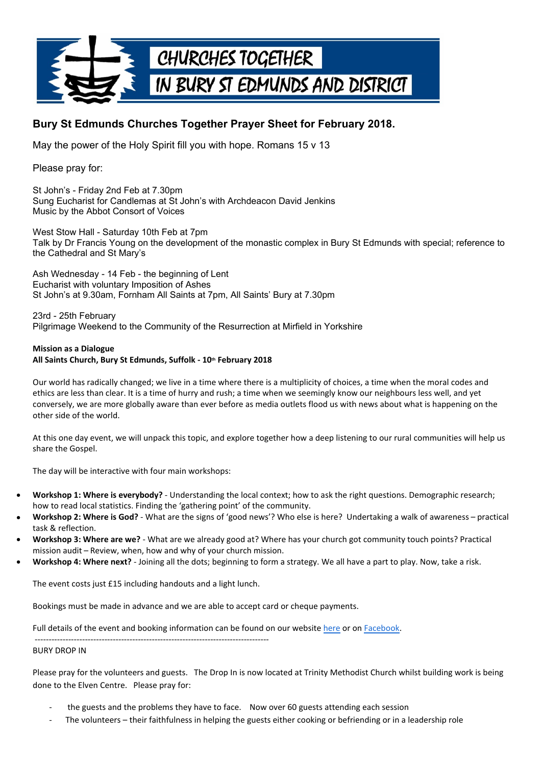

## **Bury St Edmunds Churches Together Prayer Sheet for February 2018.**

May the power of the Holy Spirit fill you with hope. Romans 15 v 13

Please pray for:

St John's - Friday 2nd Feb at 7.30pm Sung Eucharist for Candlemas at St John's with Archdeacon David Jenkins Music by the Abbot Consort of Voices

West Stow Hall - Saturday 10th Feb at 7pm Talk by Dr Francis Young on the development of the monastic complex in Bury St Edmunds with special; reference to the Cathedral and St Mary's

Ash Wednesday - 14 Feb - the beginning of Lent Eucharist with voluntary Imposition of Ashes St John's at 9.30am, Fornham All Saints at 7pm, All Saints' Bury at 7.30pm

23rd - 25th February Pilgrimage Weekend to the Community of the Resurrection at Mirfield in Yorkshire

## **Mission as a Dialogue All Saints Church, Bury St Edmunds, Suffolk - 10th February 2018**

Our world has radically changed; we live in a time where there is a multiplicity of choices, a time when the moral codes and ethics are less than clear. It is a time of hurry and rush; a time when we seemingly know our neighbours less well, and yet conversely, we are more globally aware than ever before as media outlets flood us with news about what is happening on the other side of the world.

At this one day event, we will unpack this topic, and explore together how a deep listening to our rural communities will help us share the Gospel.

The day will be interactive with four main workshops:

- **Workshop 1: Where is everybody?** Understanding the local context; how to ask the right questions. Demographic research; how to read local statistics. Finding the 'gathering point' of the community.
- **Workshop 2: Where is God?** What are the signs of 'good news'? Who else is here? Undertaking a walk of awareness – practical task & reflection.
- **Workshop 3: Where are we?** What are we already good at? Where has your church got community touch points? Practical mission audit – Review, when, how and why of your church mission.
- **Workshop 4: Where next?** Joining all the dots; beginning to form a strategy. We all have a part to play. Now, take a risk.

The event costs just £15 including handouts and a light lunch.

Bookings must be made in advance and we are able to accept card or cheque payments.

------------------------------------------------------------------------------------

Full details of the event and booking information can be found on our website [here](https://www.ruralministries.org.uk/regionalconferences2018) or on [Facebook.](https://www.facebook.com/events/366665677109098/)

## BURY DROP IN

Please pray for the volunteers and guests. The Drop In is now located at Trinity Methodist Church whilst building work is being done to the Elven Centre. Please pray for:

- 
- the guests and the problems they have to face. Now over 60 guests attending each session<br>The volunteers their faithfulness in helping the guests either cooking or befriending or in a leadership role